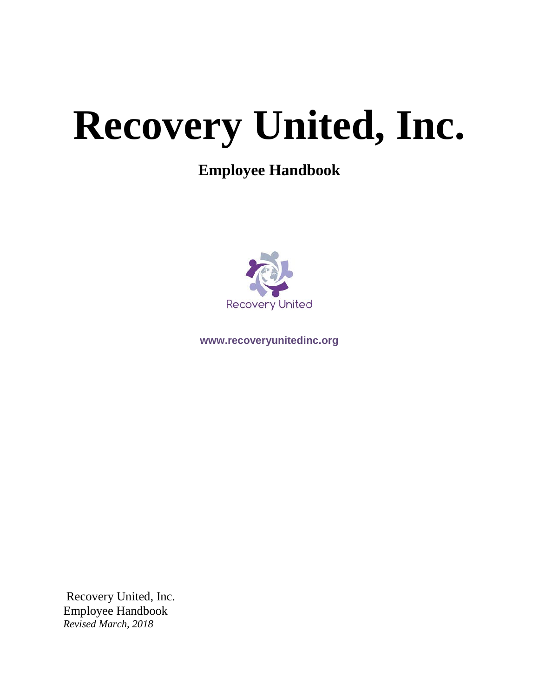# **Recovery United, Inc.**

# **Employee Handbook**



**www.recoveryunitedinc.org**

Recovery United, Inc. Employee Handbook *Revised March, 2018*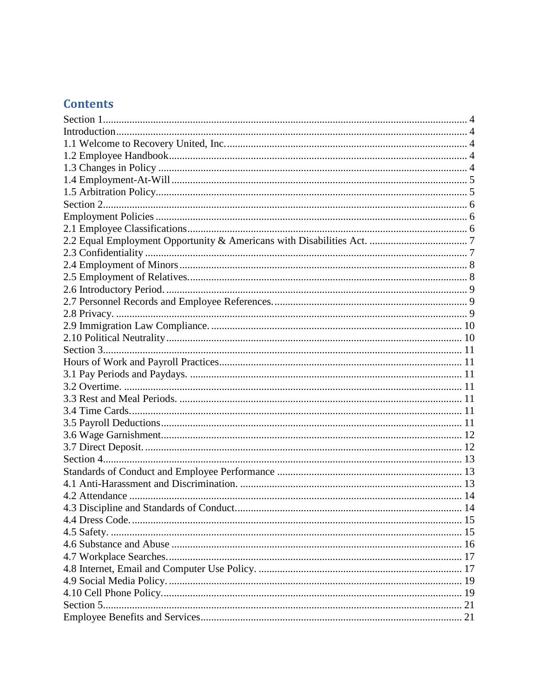# **Contents**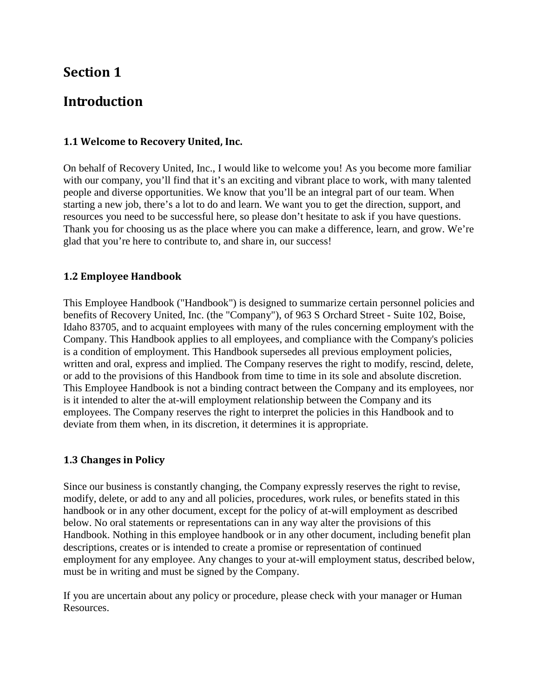# <span id="page-3-1"></span><span id="page-3-0"></span>**Introduction**

#### <span id="page-3-2"></span>**1.1 Welcome to Recovery United, Inc.**

On behalf of Recovery United, Inc., I would like to welcome you! As you become more familiar with our company, you'll find that it's an exciting and vibrant place to work, with many talented people and diverse opportunities. We know that you'll be an integral part of our team. When starting a new job, there's a lot to do and learn. We want you to get the direction, support, and resources you need to be successful here, so please don't hesitate to ask if you have questions. Thank you for choosing us as the place where you can make a difference, learn, and grow. We're glad that you're here to contribute to, and share in, our success!

#### <span id="page-3-3"></span>**1.2 Employee Handbook**

This Employee Handbook ("Handbook") is designed to summarize certain personnel policies and benefits of Recovery United, Inc. (the "Company"), of 963 S Orchard Street - Suite 102, Boise, Idaho 83705, and to acquaint employees with many of the rules concerning employment with the Company. This Handbook applies to all employees, and compliance with the Company's policies is a condition of employment. This Handbook supersedes all previous employment policies, written and oral, express and implied. The Company reserves the right to modify, rescind, delete, or add to the provisions of this Handbook from time to time in its sole and absolute discretion. This Employee Handbook is not a binding contract between the Company and its employees, nor is it intended to alter the at-will employment relationship between the Company and its employees. The Company reserves the right to interpret the policies in this Handbook and to deviate from them when, in its discretion, it determines it is appropriate.

#### <span id="page-3-4"></span>**1.3 Changes in Policy**

Since our business is constantly changing, the Company expressly reserves the right to revise, modify, delete, or add to any and all policies, procedures, work rules, or benefits stated in this handbook or in any other document, except for the policy of at-will employment as described below. No oral statements or representations can in any way alter the provisions of this Handbook. Nothing in this employee handbook or in any other document, including benefit plan descriptions, creates or is intended to create a promise or representation of continued employment for any employee. Any changes to your at-will employment status, described below, must be in writing and must be signed by the Company.

If you are uncertain about any policy or procedure, please check with your manager or Human Resources.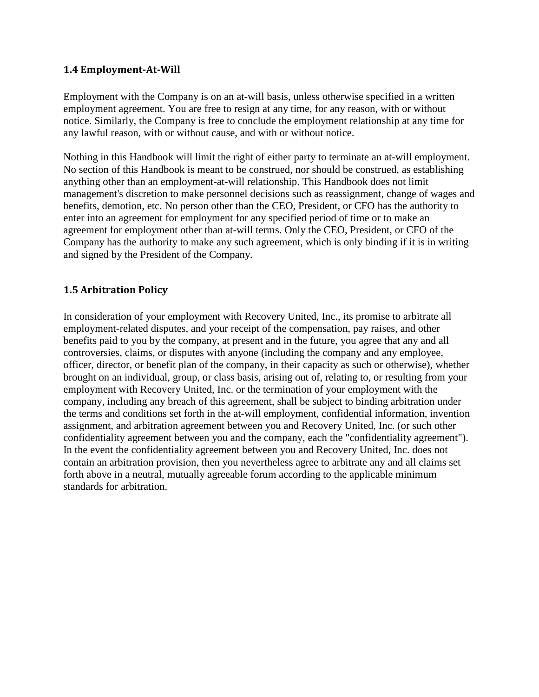#### <span id="page-4-0"></span>**1.4 Employment-At-Will**

Employment with the Company is on an at-will basis, unless otherwise specified in a written employment agreement. You are free to resign at any time, for any reason, with or without notice. Similarly, the Company is free to conclude the employment relationship at any time for any lawful reason, with or without cause, and with or without notice.

Nothing in this Handbook will limit the right of either party to terminate an at-will employment. No section of this Handbook is meant to be construed, nor should be construed, as establishing anything other than an employment-at-will relationship. This Handbook does not limit management's discretion to make personnel decisions such as reassignment, change of wages and benefits, demotion, etc. No person other than the CEO, President, or CFO has the authority to enter into an agreement for employment for any specified period of time or to make an agreement for employment other than at-will terms. Only the CEO, President, or CFO of the Company has the authority to make any such agreement, which is only binding if it is in writing and signed by the President of the Company.

## <span id="page-4-1"></span>**1.5 Arbitration Policy**

In consideration of your employment with Recovery United, Inc., its promise to arbitrate all employment-related disputes, and your receipt of the compensation, pay raises, and other benefits paid to you by the company, at present and in the future, you agree that any and all controversies, claims, or disputes with anyone (including the company and any employee, officer, director, or benefit plan of the company, in their capacity as such or otherwise), whether brought on an individual, group, or class basis, arising out of, relating to, or resulting from your employment with Recovery United, Inc. or the termination of your employment with the company, including any breach of this agreement, shall be subject to binding arbitration under the terms and conditions set forth in the at-will employment, confidential information, invention assignment, and arbitration agreement between you and Recovery United, Inc. (or such other confidentiality agreement between you and the company, each the "confidentiality agreement"). In the event the confidentiality agreement between you and Recovery United, Inc. does not contain an arbitration provision, then you nevertheless agree to arbitrate any and all claims set forth above in a neutral, mutually agreeable forum according to the applicable minimum standards for arbitration.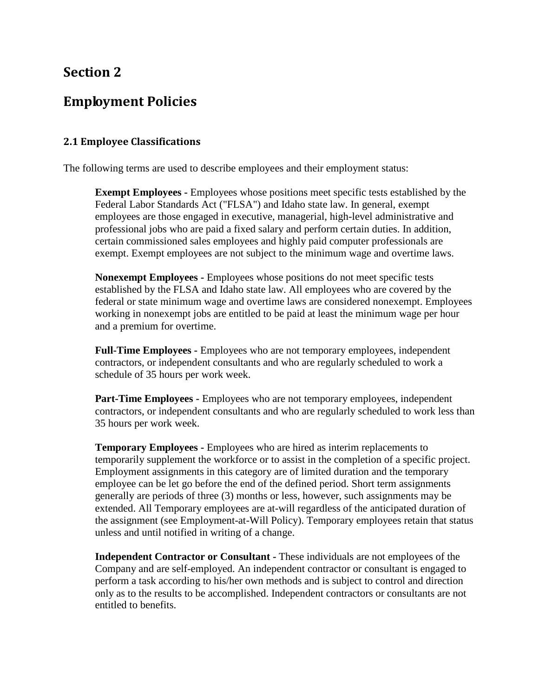## <span id="page-5-1"></span><span id="page-5-0"></span>**Employment Policies**

#### <span id="page-5-2"></span>**2.1 Employee Classifications**

The following terms are used to describe employees and their employment status:

**Exempt Employees -** Employees whose positions meet specific tests established by the Federal Labor Standards Act ("FLSA") and Idaho state law. In general, exempt employees are those engaged in executive, managerial, high-level administrative and professional jobs who are paid a fixed salary and perform certain duties. In addition, certain commissioned sales employees and highly paid computer professionals are exempt. Exempt employees are not subject to the minimum wage and overtime laws.

**Nonexempt Employees -** Employees whose positions do not meet specific tests established by the FLSA and Idaho state law. All employees who are covered by the federal or state minimum wage and overtime laws are considered nonexempt. Employees working in nonexempt jobs are entitled to be paid at least the minimum wage per hour and a premium for overtime.

**Full-Time Employees -** Employees who are not temporary employees, independent contractors, or independent consultants and who are regularly scheduled to work a schedule of 35 hours per work week.

**Part-Time Employees -** Employees who are not temporary employees, independent contractors, or independent consultants and who are regularly scheduled to work less than 35 hours per work week.

**Temporary Employees -** Employees who are hired as interim replacements to temporarily supplement the workforce or to assist in the completion of a specific project. Employment assignments in this category are of limited duration and the temporary employee can be let go before the end of the defined period. Short term assignments generally are periods of three (3) months or less, however, such assignments may be extended. All Temporary employees are at-will regardless of the anticipated duration of the assignment (see Employment-at-Will Policy). Temporary employees retain that status unless and until notified in writing of a change.

**Independent Contractor or Consultant -** These individuals are not employees of the Company and are self-employed. An independent contractor or consultant is engaged to perform a task according to his/her own methods and is subject to control and direction only as to the results to be accomplished. Independent contractors or consultants are not entitled to benefits.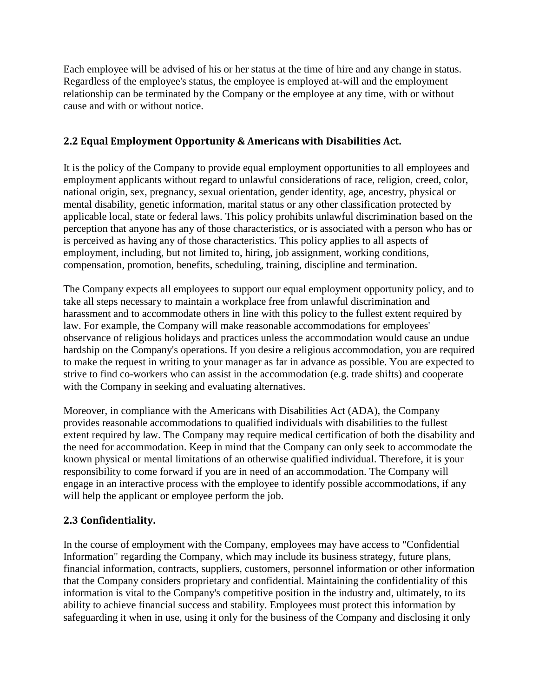Each employee will be advised of his or her status at the time of hire and any change in status. Regardless of the employee's status, the employee is employed at-will and the employment relationship can be terminated by the Company or the employee at any time, with or without cause and with or without notice.

## <span id="page-6-0"></span>**2.2 Equal Employment Opportunity & Americans with Disabilities Act.**

It is the policy of the Company to provide equal employment opportunities to all employees and employment applicants without regard to unlawful considerations of race, religion, creed, color, national origin, sex, pregnancy, sexual orientation, gender identity, age, ancestry, physical or mental disability, genetic information, marital status or any other classification protected by applicable local, state or federal laws. This policy prohibits unlawful discrimination based on the perception that anyone has any of those characteristics, or is associated with a person who has or is perceived as having any of those characteristics. This policy applies to all aspects of employment, including, but not limited to, hiring, job assignment, working conditions, compensation, promotion, benefits, scheduling, training, discipline and termination.

The Company expects all employees to support our equal employment opportunity policy, and to take all steps necessary to maintain a workplace free from unlawful discrimination and harassment and to accommodate others in line with this policy to the fullest extent required by law. For example, the Company will make reasonable accommodations for employees' observance of religious holidays and practices unless the accommodation would cause an undue hardship on the Company's operations. If you desire a religious accommodation, you are required to make the request in writing to your manager as far in advance as possible. You are expected to strive to find co-workers who can assist in the accommodation (e.g. trade shifts) and cooperate with the Company in seeking and evaluating alternatives.

Moreover, in compliance with the Americans with Disabilities Act (ADA), the Company provides reasonable accommodations to qualified individuals with disabilities to the fullest extent required by law. The Company may require medical certification of both the disability and the need for accommodation. Keep in mind that the Company can only seek to accommodate the known physical or mental limitations of an otherwise qualified individual. Therefore, it is your responsibility to come forward if you are in need of an accommodation. The Company will engage in an interactive process with the employee to identify possible accommodations, if any will help the applicant or employee perform the job.

## <span id="page-6-1"></span>**2.3 Confidentiality.**

In the course of employment with the Company, employees may have access to "Confidential Information" regarding the Company, which may include its business strategy, future plans, financial information, contracts, suppliers, customers, personnel information or other information that the Company considers proprietary and confidential. Maintaining the confidentiality of this information is vital to the Company's competitive position in the industry and, ultimately, to its ability to achieve financial success and stability. Employees must protect this information by safeguarding it when in use, using it only for the business of the Company and disclosing it only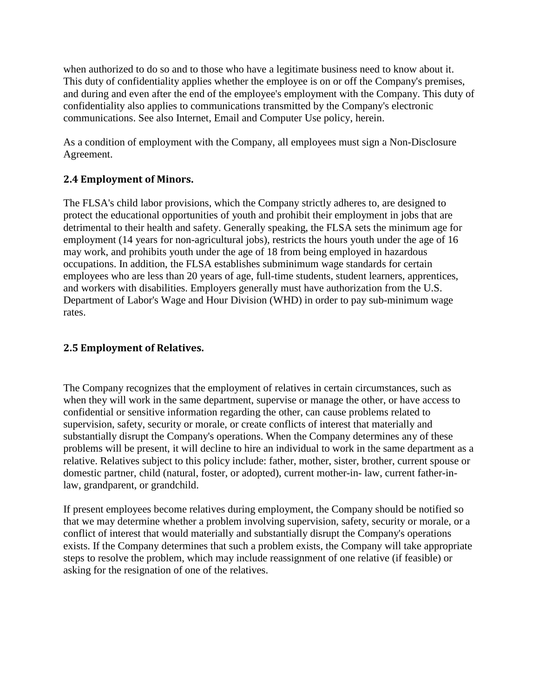when authorized to do so and to those who have a legitimate business need to know about it. This duty of confidentiality applies whether the employee is on or off the Company's premises, and during and even after the end of the employee's employment with the Company. This duty of confidentiality also applies to communications transmitted by the Company's electronic communications. See also Internet, Email and Computer Use policy, herein.

As a condition of employment with the Company, all employees must sign a Non-Disclosure Agreement.

## <span id="page-7-0"></span>**2.4 Employment of Minors.**

The FLSA's child labor provisions, which the Company strictly adheres to, are designed to protect the educational opportunities of youth and prohibit their employment in jobs that are detrimental to their health and safety. Generally speaking, the FLSA sets the minimum age for employment (14 years for non-agricultural jobs), restricts the hours youth under the age of 16 may work, and prohibits youth under the age of 18 from being employed in hazardous occupations. In addition, the FLSA establishes subminimum wage standards for certain employees who are less than 20 years of age, full-time students, student learners, apprentices, and workers with disabilities. Employers generally must have authorization from the U.S. Department of Labor's Wage and Hour Division (WHD) in order to pay sub-minimum wage rates.

## <span id="page-7-1"></span>**2.5 Employment of Relatives.**

The Company recognizes that the employment of relatives in certain circumstances, such as when they will work in the same department, supervise or manage the other, or have access to confidential or sensitive information regarding the other, can cause problems related to supervision, safety, security or morale, or create conflicts of interest that materially and substantially disrupt the Company's operations. When the Company determines any of these problems will be present, it will decline to hire an individual to work in the same department as a relative. Relatives subject to this policy include: father, mother, sister, brother, current spouse or domestic partner, child (natural, foster, or adopted), current mother-in- law, current father-inlaw, grandparent, or grandchild.

If present employees become relatives during employment, the Company should be notified so that we may determine whether a problem involving supervision, safety, security or morale, or a conflict of interest that would materially and substantially disrupt the Company's operations exists. If the Company determines that such a problem exists, the Company will take appropriate steps to resolve the problem, which may include reassignment of one relative (if feasible) or asking for the resignation of one of the relatives.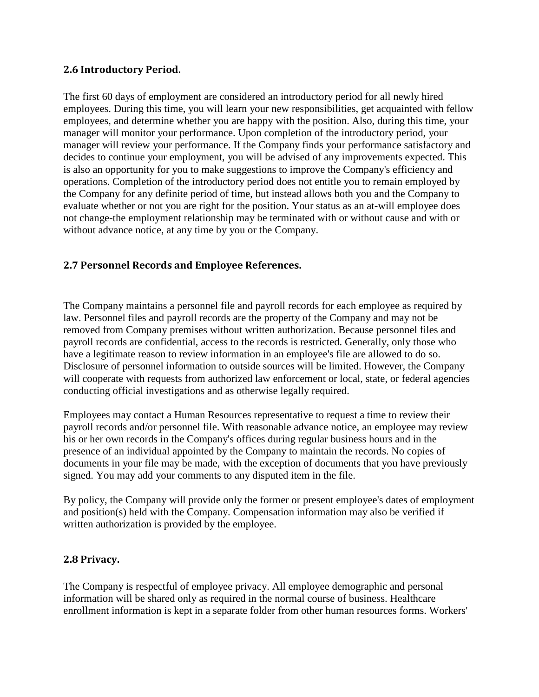## <span id="page-8-0"></span>**2.6 Introductory Period.**

The first 60 days of employment are considered an introductory period for all newly hired employees. During this time, you will learn your new responsibilities, get acquainted with fellow employees, and determine whether you are happy with the position. Also, during this time, your manager will monitor your performance. Upon completion of the introductory period, your manager will review your performance. If the Company finds your performance satisfactory and decides to continue your employment, you will be advised of any improvements expected. This is also an opportunity for you to make suggestions to improve the Company's efficiency and operations. Completion of the introductory period does not entitle you to remain employed by the Company for any definite period of time, but instead allows both you and the Company to evaluate whether or not you are right for the position. Your status as an at-will employee does not change-the employment relationship may be terminated with or without cause and with or without advance notice, at any time by you or the Company.

## <span id="page-8-1"></span>**2.7 Personnel Records and Employee References.**

The Company maintains a personnel file and payroll records for each employee as required by law. Personnel files and payroll records are the property of the Company and may not be removed from Company premises without written authorization. Because personnel files and payroll records are confidential, access to the records is restricted. Generally, only those who have a legitimate reason to review information in an employee's file are allowed to do so. Disclosure of personnel information to outside sources will be limited. However, the Company will cooperate with requests from authorized law enforcement or local, state, or federal agencies conducting official investigations and as otherwise legally required.

Employees may contact a Human Resources representative to request a time to review their payroll records and/or personnel file. With reasonable advance notice, an employee may review his or her own records in the Company's offices during regular business hours and in the presence of an individual appointed by the Company to maintain the records. No copies of documents in your file may be made, with the exception of documents that you have previously signed. You may add your comments to any disputed item in the file.

By policy, the Company will provide only the former or present employee's dates of employment and position(s) held with the Company. Compensation information may also be verified if written authorization is provided by the employee.

#### <span id="page-8-2"></span>**2.8 Privacy.**

The Company is respectful of employee privacy. All employee demographic and personal information will be shared only as required in the normal course of business. Healthcare enrollment information is kept in a separate folder from other human resources forms. Workers'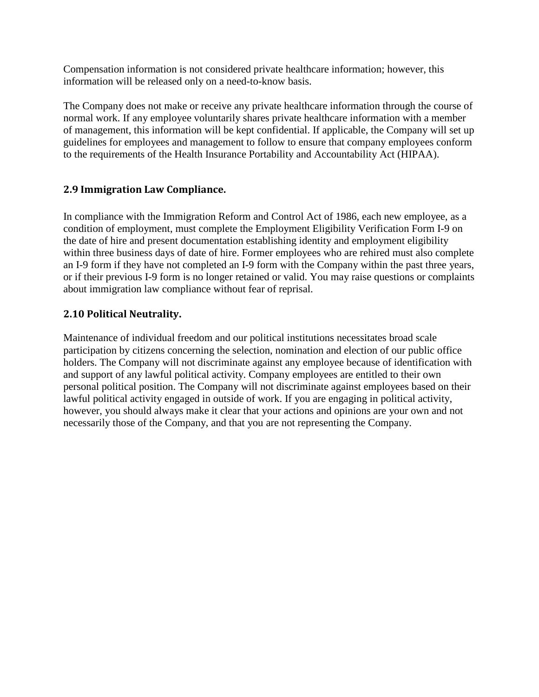Compensation information is not considered private healthcare information; however, this information will be released only on a need-to-know basis.

The Company does not make or receive any private healthcare information through the course of normal work. If any employee voluntarily shares private healthcare information with a member of management, this information will be kept confidential. If applicable, the Company will set up guidelines for employees and management to follow to ensure that company employees conform to the requirements of the Health Insurance Portability and Accountability Act (HIPAA).

## <span id="page-9-0"></span>**2.9 Immigration Law Compliance.**

In compliance with the Immigration Reform and Control Act of 1986, each new employee, as a condition of employment, must complete the Employment Eligibility Verification Form I-9 on the date of hire and present documentation establishing identity and employment eligibility within three business days of date of hire. Former employees who are rehired must also complete an I-9 form if they have not completed an I-9 form with the Company within the past three years, or if their previous I-9 form is no longer retained or valid. You may raise questions or complaints about immigration law compliance without fear of reprisal.

## <span id="page-9-1"></span>**2.10 Political Neutrality.**

Maintenance of individual freedom and our political institutions necessitates broad scale participation by citizens concerning the selection, nomination and election of our public office holders. The Company will not discriminate against any employee because of identification with and support of any lawful political activity. Company employees are entitled to their own personal political position. The Company will not discriminate against employees based on their lawful political activity engaged in outside of work. If you are engaging in political activity, however, you should always make it clear that your actions and opinions are your own and not necessarily those of the Company, and that you are not representing the Company.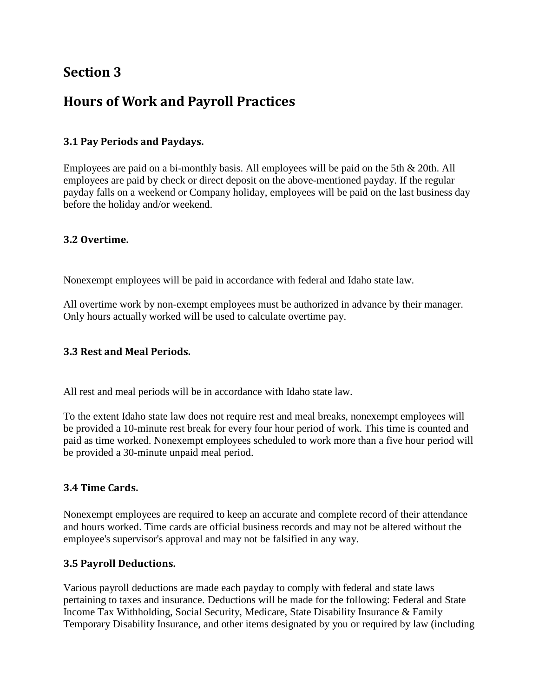# <span id="page-10-1"></span><span id="page-10-0"></span>**Hours of Work and Payroll Practices**

## <span id="page-10-2"></span>**3.1 Pay Periods and Paydays.**

Employees are paid on a bi-monthly basis. All employees will be paid on the 5th & 20th. All employees are paid by check or direct deposit on the above-mentioned payday. If the regular payday falls on a weekend or Company holiday, employees will be paid on the last business day before the holiday and/or weekend.

## <span id="page-10-3"></span>**3.2 Overtime.**

Nonexempt employees will be paid in accordance with federal and Idaho state law.

All overtime work by non-exempt employees must be authorized in advance by their manager. Only hours actually worked will be used to calculate overtime pay.

## <span id="page-10-4"></span>**3.3 Rest and Meal Periods.**

All rest and meal periods will be in accordance with Idaho state law.

To the extent Idaho state law does not require rest and meal breaks, nonexempt employees will be provided a 10-minute rest break for every four hour period of work. This time is counted and paid as time worked. Nonexempt employees scheduled to work more than a five hour period will be provided a 30-minute unpaid meal period.

## <span id="page-10-5"></span>**3.4 Time Cards.**

Nonexempt employees are required to keep an accurate and complete record of their attendance and hours worked. Time cards are official business records and may not be altered without the employee's supervisor's approval and may not be falsified in any way.

## <span id="page-10-6"></span>**3.5 Payroll Deductions.**

Various payroll deductions are made each payday to comply with federal and state laws pertaining to taxes and insurance. Deductions will be made for the following: Federal and State Income Tax Withholding, Social Security, Medicare, State Disability Insurance & Family Temporary Disability Insurance, and other items designated by you or required by law (including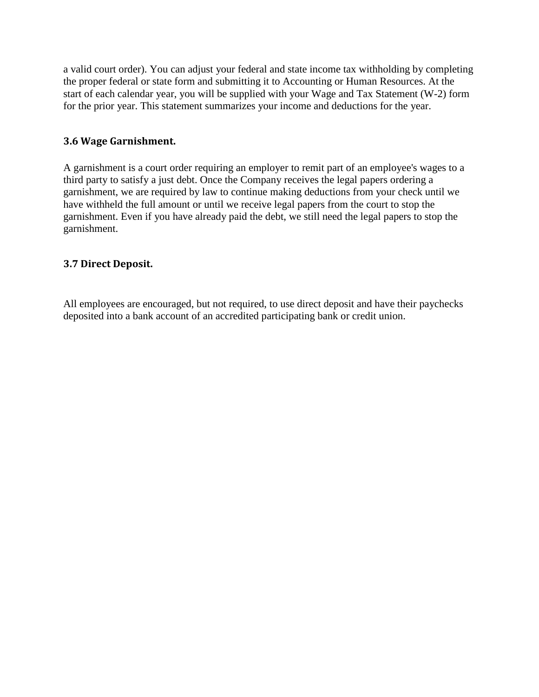a valid court order). You can adjust your federal and state income tax withholding by completing the proper federal or state form and submitting it to Accounting or Human Resources. At the start of each calendar year, you will be supplied with your Wage and Tax Statement (W-2) form for the prior year. This statement summarizes your income and deductions for the year.

## <span id="page-11-0"></span>**3.6 Wage Garnishment.**

A garnishment is a court order requiring an employer to remit part of an employee's wages to a third party to satisfy a just debt. Once the Company receives the legal papers ordering a garnishment, we are required by law to continue making deductions from your check until we have withheld the full amount or until we receive legal papers from the court to stop the garnishment. Even if you have already paid the debt, we still need the legal papers to stop the garnishment.

## <span id="page-11-1"></span>**3.7 Direct Deposit.**

All employees are encouraged, but not required, to use direct deposit and have their paychecks deposited into a bank account of an accredited participating bank or credit union.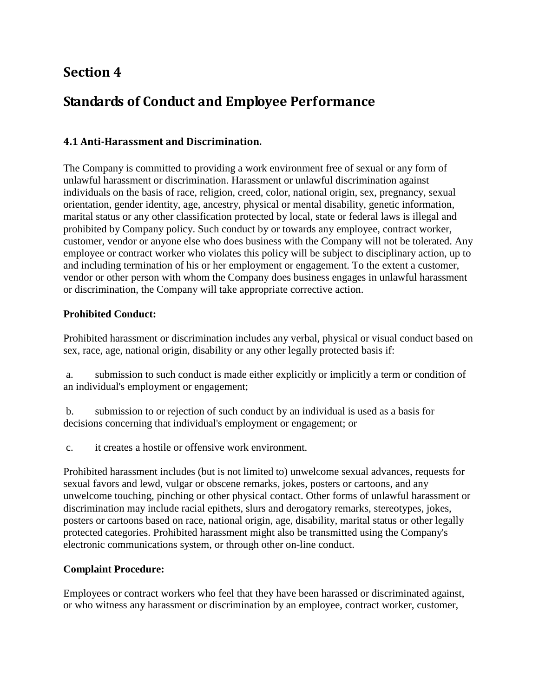# <span id="page-12-1"></span><span id="page-12-0"></span>**Standards of Conduct and Employee Performance**

## <span id="page-12-2"></span>**4.1 Anti-Harassment and Discrimination.**

The Company is committed to providing a work environment free of sexual or any form of unlawful harassment or discrimination. Harassment or unlawful discrimination against individuals on the basis of race, religion, creed, color, national origin, sex, pregnancy, sexual orientation, gender identity, age, ancestry, physical or mental disability, genetic information, marital status or any other classification protected by local, state or federal laws is illegal and prohibited by Company policy. Such conduct by or towards any employee, contract worker, customer, vendor or anyone else who does business with the Company will not be tolerated. Any employee or contract worker who violates this policy will be subject to disciplinary action, up to and including termination of his or her employment or engagement. To the extent a customer, vendor or other person with whom the Company does business engages in unlawful harassment or discrimination, the Company will take appropriate corrective action.

## **Prohibited Conduct:**

Prohibited harassment or discrimination includes any verbal, physical or visual conduct based on sex, race, age, national origin, disability or any other legally protected basis if:

a. submission to such conduct is made either explicitly or implicitly a term or condition of an individual's employment or engagement;

b. submission to or rejection of such conduct by an individual is used as a basis for decisions concerning that individual's employment or engagement; or

c. it creates a hostile or offensive work environment.

Prohibited harassment includes (but is not limited to) unwelcome sexual advances, requests for sexual favors and lewd, vulgar or obscene remarks, jokes, posters or cartoons, and any unwelcome touching, pinching or other physical contact. Other forms of unlawful harassment or discrimination may include racial epithets, slurs and derogatory remarks, stereotypes, jokes, posters or cartoons based on race, national origin, age, disability, marital status or other legally protected categories. Prohibited harassment might also be transmitted using the Company's electronic communications system, or through other on-line conduct.

## **Complaint Procedure:**

Employees or contract workers who feel that they have been harassed or discriminated against, or who witness any harassment or discrimination by an employee, contract worker, customer,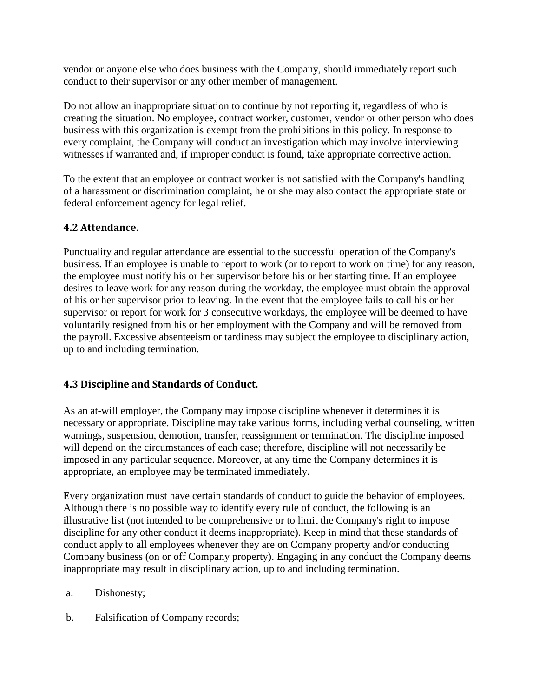vendor or anyone else who does business with the Company, should immediately report such conduct to their supervisor or any other member of management.

Do not allow an inappropriate situation to continue by not reporting it, regardless of who is creating the situation. No employee, contract worker, customer, vendor or other person who does business with this organization is exempt from the prohibitions in this policy. In response to every complaint, the Company will conduct an investigation which may involve interviewing witnesses if warranted and, if improper conduct is found, take appropriate corrective action.

To the extent that an employee or contract worker is not satisfied with the Company's handling of a harassment or discrimination complaint, he or she may also contact the appropriate state or federal enforcement agency for legal relief.

## <span id="page-13-0"></span>**4.2 Attendance.**

Punctuality and regular attendance are essential to the successful operation of the Company's business. If an employee is unable to report to work (or to report to work on time) for any reason, the employee must notify his or her supervisor before his or her starting time. If an employee desires to leave work for any reason during the workday, the employee must obtain the approval of his or her supervisor prior to leaving. In the event that the employee fails to call his or her supervisor or report for work for 3 consecutive workdays, the employee will be deemed to have voluntarily resigned from his or her employment with the Company and will be removed from the payroll. Excessive absenteeism or tardiness may subject the employee to disciplinary action, up to and including termination.

## <span id="page-13-1"></span>**4.3 Discipline and Standards of Conduct.**

As an at-will employer, the Company may impose discipline whenever it determines it is necessary or appropriate. Discipline may take various forms, including verbal counseling, written warnings, suspension, demotion, transfer, reassignment or termination. The discipline imposed will depend on the circumstances of each case; therefore, discipline will not necessarily be imposed in any particular sequence. Moreover, at any time the Company determines it is appropriate, an employee may be terminated immediately.

Every organization must have certain standards of conduct to guide the behavior of employees. Although there is no possible way to identify every rule of conduct, the following is an illustrative list (not intended to be comprehensive or to limit the Company's right to impose discipline for any other conduct it deems inappropriate). Keep in mind that these standards of conduct apply to all employees whenever they are on Company property and/or conducting Company business (on or off Company property). Engaging in any conduct the Company deems inappropriate may result in disciplinary action, up to and including termination.

- a. Dishonesty;
- b. Falsification of Company records;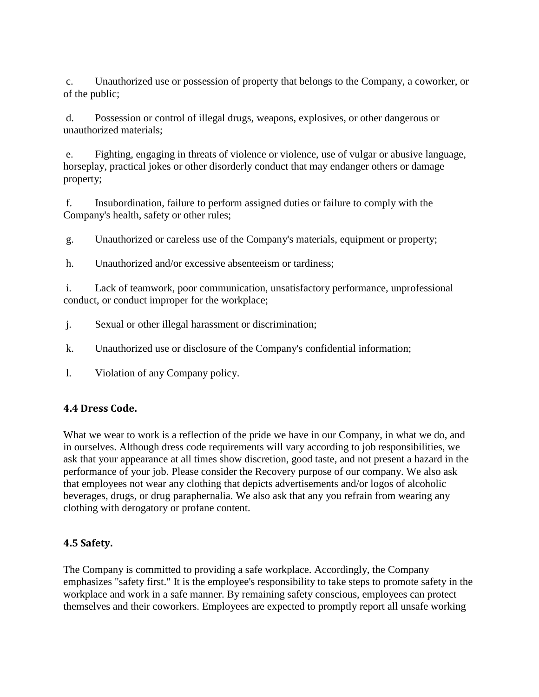c. Unauthorized use or possession of property that belongs to the Company, a coworker, or of the public;

d. Possession or control of illegal drugs, weapons, explosives, or other dangerous or unauthorized materials;

e. Fighting, engaging in threats of violence or violence, use of vulgar or abusive language, horseplay, practical jokes or other disorderly conduct that may endanger others or damage property;

f. Insubordination, failure to perform assigned duties or failure to comply with the Company's health, safety or other rules;

g. Unauthorized or careless use of the Company's materials, equipment or property;

h. Unauthorized and/or excessive absenteeism or tardiness;

i. Lack of teamwork, poor communication, unsatisfactory performance, unprofessional conduct, or conduct improper for the workplace;

- j. Sexual or other illegal harassment or discrimination;
- k. Unauthorized use or disclosure of the Company's confidential information;
- l. Violation of any Company policy.

## <span id="page-14-0"></span>**4.4 Dress Code.**

What we wear to work is a reflection of the pride we have in our Company, in what we do, and in ourselves. Although dress code requirements will vary according to job responsibilities, we ask that your appearance at all times show discretion, good taste, and not present a hazard in the performance of your job. Please consider the Recovery purpose of our company. We also ask that employees not wear any clothing that depicts advertisements and/or logos of alcoholic beverages, drugs, or drug paraphernalia. We also ask that any you refrain from wearing any clothing with derogatory or profane content.

## <span id="page-14-1"></span>**4.5 Safety.**

The Company is committed to providing a safe workplace. Accordingly, the Company emphasizes "safety first." It is the employee's responsibility to take steps to promote safety in the workplace and work in a safe manner. By remaining safety conscious, employees can protect themselves and their coworkers. Employees are expected to promptly report all unsafe working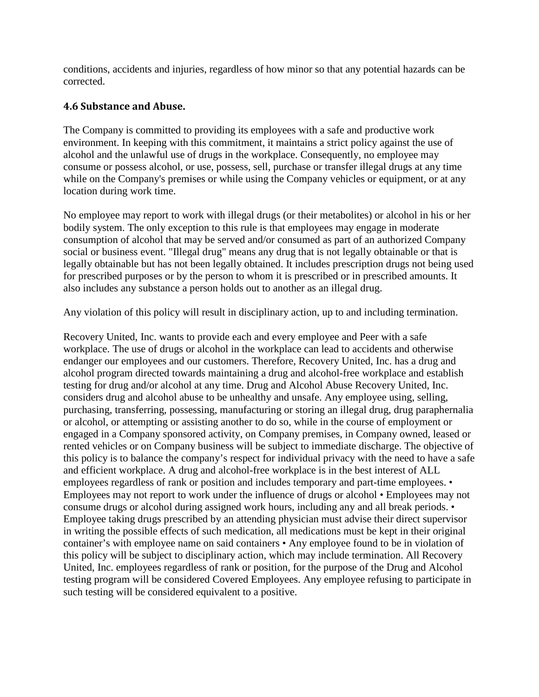conditions, accidents and injuries, regardless of how minor so that any potential hazards can be corrected.

## <span id="page-15-0"></span>**4.6 Substance and Abuse.**

The Company is committed to providing its employees with a safe and productive work environment. In keeping with this commitment, it maintains a strict policy against the use of alcohol and the unlawful use of drugs in the workplace. Consequently, no employee may consume or possess alcohol, or use, possess, sell, purchase or transfer illegal drugs at any time while on the Company's premises or while using the Company vehicles or equipment, or at any location during work time.

No employee may report to work with illegal drugs (or their metabolites) or alcohol in his or her bodily system. The only exception to this rule is that employees may engage in moderate consumption of alcohol that may be served and/or consumed as part of an authorized Company social or business event. "Illegal drug" means any drug that is not legally obtainable or that is legally obtainable but has not been legally obtained. It includes prescription drugs not being used for prescribed purposes or by the person to whom it is prescribed or in prescribed amounts. It also includes any substance a person holds out to another as an illegal drug.

Any violation of this policy will result in disciplinary action, up to and including termination.

Recovery United, Inc. wants to provide each and every employee and Peer with a safe workplace. The use of drugs or alcohol in the workplace can lead to accidents and otherwise endanger our employees and our customers. Therefore, Recovery United, Inc. has a drug and alcohol program directed towards maintaining a drug and alcohol-free workplace and establish testing for drug and/or alcohol at any time. Drug and Alcohol Abuse Recovery United, Inc. considers drug and alcohol abuse to be unhealthy and unsafe. Any employee using, selling, purchasing, transferring, possessing, manufacturing or storing an illegal drug, drug paraphernalia or alcohol, or attempting or assisting another to do so, while in the course of employment or engaged in a Company sponsored activity, on Company premises, in Company owned, leased or rented vehicles or on Company business will be subject to immediate discharge. The objective of this policy is to balance the company's respect for individual privacy with the need to have a safe and efficient workplace. A drug and alcohol-free workplace is in the best interest of ALL employees regardless of rank or position and includes temporary and part-time employees. • Employees may not report to work under the influence of drugs or alcohol • Employees may not consume drugs or alcohol during assigned work hours, including any and all break periods. • Employee taking drugs prescribed by an attending physician must advise their direct supervisor in writing the possible effects of such medication, all medications must be kept in their original container's with employee name on said containers • Any employee found to be in violation of this policy will be subject to disciplinary action, which may include termination. All Recovery United, Inc. employees regardless of rank or position, for the purpose of the Drug and Alcohol testing program will be considered Covered Employees. Any employee refusing to participate in such testing will be considered equivalent to a positive.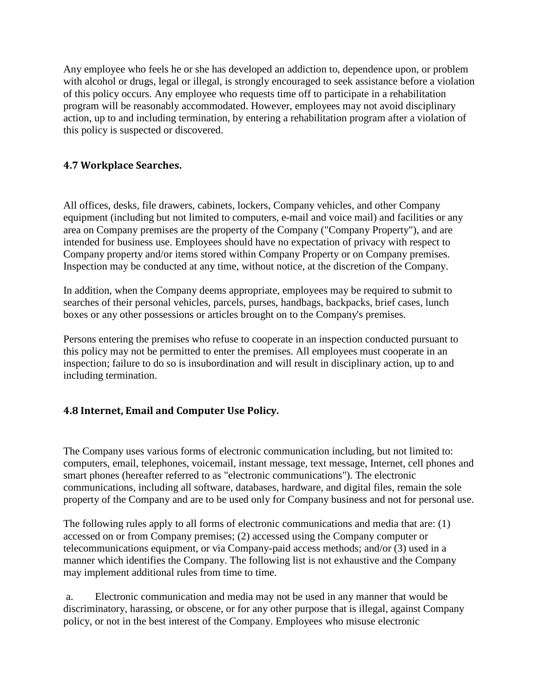Any employee who feels he or she has developed an addiction to, dependence upon, or problem with alcohol or drugs, legal or illegal, is strongly encouraged to seek assistance before a violation of this policy occurs. Any employee who requests time off to participate in a rehabilitation program will be reasonably accommodated. However, employees may not avoid disciplinary action, up to and including termination, by entering a rehabilitation program after a violation of this policy is suspected or discovered.

## <span id="page-16-0"></span>**4.7 Workplace Searches.**

All offices, desks, file drawers, cabinets, lockers, Company vehicles, and other Company equipment (including but not limited to computers, e-mail and voice mail) and facilities or any area on Company premises are the property of the Company ("Company Property"), and are intended for business use. Employees should have no expectation of privacy with respect to Company property and/or items stored within Company Property or on Company premises. Inspection may be conducted at any time, without notice, at the discretion of the Company.

In addition, when the Company deems appropriate, employees may be required to submit to searches of their personal vehicles, parcels, purses, handbags, backpacks, brief cases, lunch boxes or any other possessions or articles brought on to the Company's premises.

Persons entering the premises who refuse to cooperate in an inspection conducted pursuant to this policy may not be permitted to enter the premises. All employees must cooperate in an inspection; failure to do so is insubordination and will result in disciplinary action, up to and including termination.

## <span id="page-16-1"></span>**4.8 Internet, Email and Computer Use Policy.**

The Company uses various forms of electronic communication including, but not limited to: computers, email, telephones, voicemail, instant message, text message, Internet, cell phones and smart phones (hereafter referred to as "electronic communications"). The electronic communications, including all software, databases, hardware, and digital files, remain the sole property of the Company and are to be used only for Company business and not for personal use.

The following rules apply to all forms of electronic communications and media that are: (1) accessed on or from Company premises; (2) accessed using the Company computer or telecommunications equipment, or via Company-paid access methods; and/or (3) used in a manner which identifies the Company. The following list is not exhaustive and the Company may implement additional rules from time to time.

a. Electronic communication and media may not be used in any manner that would be discriminatory, harassing, or obscene, or for any other purpose that is illegal, against Company policy, or not in the best interest of the Company. Employees who misuse electronic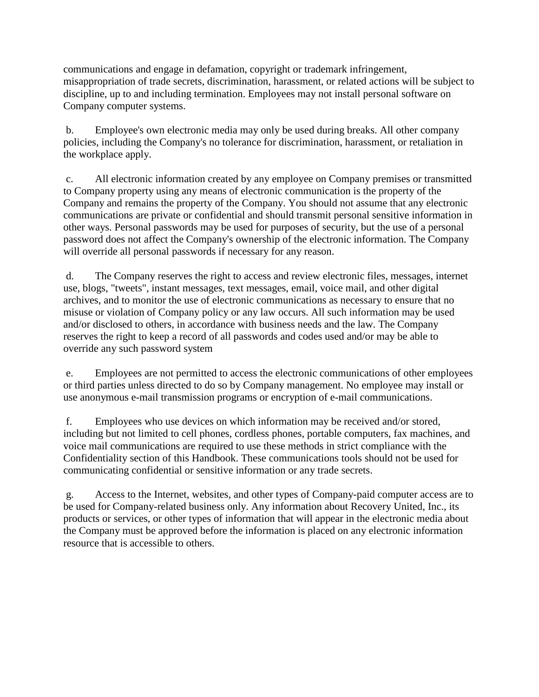communications and engage in defamation, copyright or trademark infringement, misappropriation of trade secrets, discrimination, harassment, or related actions will be subject to discipline, up to and including termination. Employees may not install personal software on Company computer systems.

b. Employee's own electronic media may only be used during breaks. All other company policies, including the Company's no tolerance for discrimination, harassment, or retaliation in the workplace apply.

c. All electronic information created by any employee on Company premises or transmitted to Company property using any means of electronic communication is the property of the Company and remains the property of the Company. You should not assume that any electronic communications are private or confidential and should transmit personal sensitive information in other ways. Personal passwords may be used for purposes of security, but the use of a personal password does not affect the Company's ownership of the electronic information. The Company will override all personal passwords if necessary for any reason.

d. The Company reserves the right to access and review electronic files, messages, internet use, blogs, "tweets", instant messages, text messages, email, voice mail, and other digital archives, and to monitor the use of electronic communications as necessary to ensure that no misuse or violation of Company policy or any law occurs. All such information may be used and/or disclosed to others, in accordance with business needs and the law. The Company reserves the right to keep a record of all passwords and codes used and/or may be able to override any such password system

e. Employees are not permitted to access the electronic communications of other employees or third parties unless directed to do so by Company management. No employee may install or use anonymous e-mail transmission programs or encryption of e-mail communications.

f. Employees who use devices on which information may be received and/or stored, including but not limited to cell phones, cordless phones, portable computers, fax machines, and voice mail communications are required to use these methods in strict compliance with the Confidentiality section of this Handbook. These communications tools should not be used for communicating confidential or sensitive information or any trade secrets.

g. Access to the Internet, websites, and other types of Company-paid computer access are to be used for Company-related business only. Any information about Recovery United, Inc., its products or services, or other types of information that will appear in the electronic media about the Company must be approved before the information is placed on any electronic information resource that is accessible to others.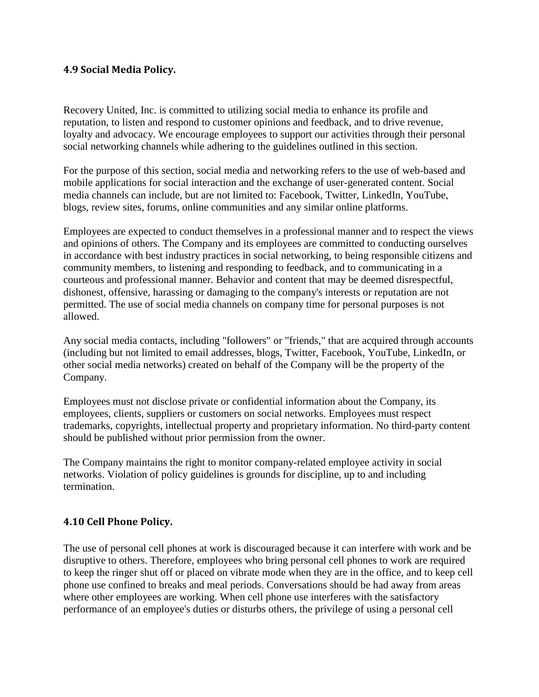#### <span id="page-18-0"></span>**4.9 Social Media Policy.**

Recovery United, Inc. is committed to utilizing social media to enhance its profile and reputation, to listen and respond to customer opinions and feedback, and to drive revenue, loyalty and advocacy. We encourage employees to support our activities through their personal social networking channels while adhering to the guidelines outlined in this section.

For the purpose of this section, social media and networking refers to the use of web-based and mobile applications for social interaction and the exchange of user-generated content. Social media channels can include, but are not limited to: Facebook, Twitter, LinkedIn, YouTube, blogs, review sites, forums, online communities and any similar online platforms.

Employees are expected to conduct themselves in a professional manner and to respect the views and opinions of others. The Company and its employees are committed to conducting ourselves in accordance with best industry practices in social networking, to being responsible citizens and community members, to listening and responding to feedback, and to communicating in a courteous and professional manner. Behavior and content that may be deemed disrespectful, dishonest, offensive, harassing or damaging to the company's interests or reputation are not permitted. The use of social media channels on company time for personal purposes is not allowed.

Any social media contacts, including "followers" or "friends," that are acquired through accounts (including but not limited to email addresses, blogs, Twitter, Facebook, YouTube, LinkedIn, or other social media networks) created on behalf of the Company will be the property of the Company.

Employees must not disclose private or confidential information about the Company, its employees, clients, suppliers or customers on social networks. Employees must respect trademarks, copyrights, intellectual property and proprietary information. No third-party content should be published without prior permission from the owner.

The Company maintains the right to monitor company-related employee activity in social networks. Violation of policy guidelines is grounds for discipline, up to and including termination.

## <span id="page-18-1"></span>**4.10 Cell Phone Policy.**

The use of personal cell phones at work is discouraged because it can interfere with work and be disruptive to others. Therefore, employees who bring personal cell phones to work are required to keep the ringer shut off or placed on vibrate mode when they are in the office, and to keep cell phone use confined to breaks and meal periods. Conversations should be had away from areas where other employees are working. When cell phone use interferes with the satisfactory performance of an employee's duties or disturbs others, the privilege of using a personal cell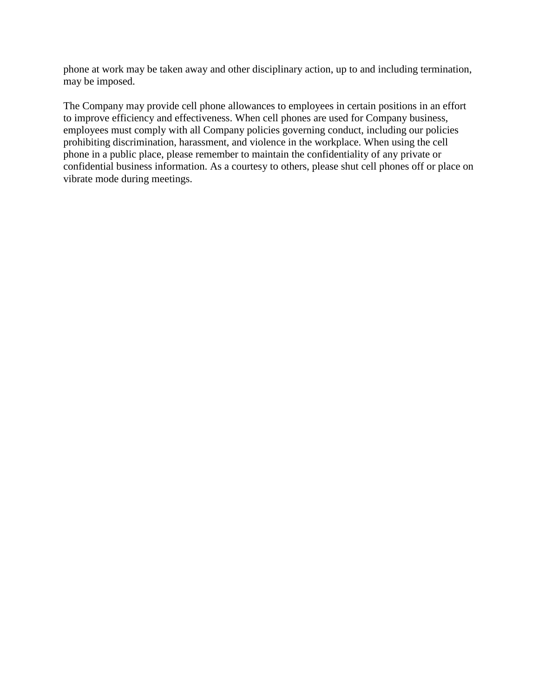phone at work may be taken away and other disciplinary action, up to and including termination, may be imposed.

The Company may provide cell phone allowances to employees in certain positions in an effort to improve efficiency and effectiveness. When cell phones are used for Company business, employees must comply with all Company policies governing conduct, including our policies prohibiting discrimination, harassment, and violence in the workplace. When using the cell phone in a public place, please remember to maintain the confidentiality of any private or confidential business information. As a courtesy to others, please shut cell phones off or place on vibrate mode during meetings.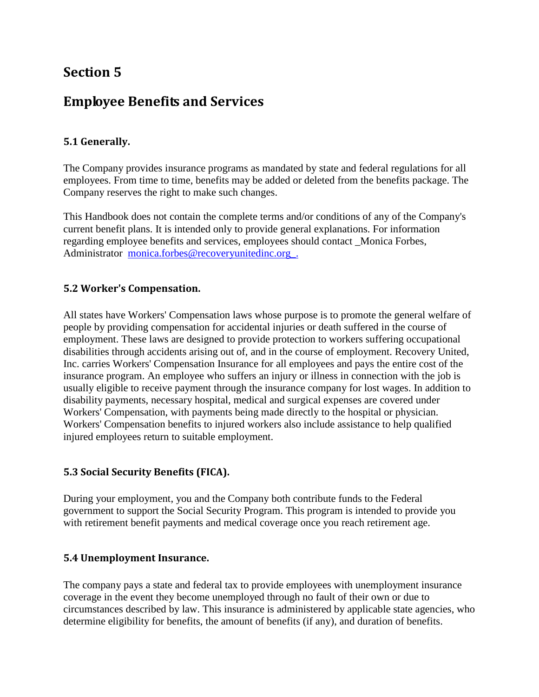# <span id="page-20-1"></span><span id="page-20-0"></span>**Employee Benefits and Services**

## <span id="page-20-2"></span>**5.1 Generally.**

The Company provides insurance programs as mandated by state and federal regulations for all employees. From time to time, benefits may be added or deleted from the benefits package. The Company reserves the right to make such changes.

This Handbook does not contain the complete terms and/or conditions of any of the Company's current benefit plans. It is intended only to provide general explanations. For information regarding employee benefits and services, employees should contact \_Monica Forbes, Administrator monica.forbes@recoveryunitedinc.org.

## <span id="page-20-3"></span>**5.2 Worker's Compensation.**

All states have Workers' Compensation laws whose purpose is to promote the general welfare of people by providing compensation for accidental injuries or death suffered in the course of employment. These laws are designed to provide protection to workers suffering occupational disabilities through accidents arising out of, and in the course of employment. Recovery United, Inc. carries Workers' Compensation Insurance for all employees and pays the entire cost of the insurance program. An employee who suffers an injury or illness in connection with the job is usually eligible to receive payment through the insurance company for lost wages. In addition to disability payments, necessary hospital, medical and surgical expenses are covered under Workers' Compensation, with payments being made directly to the hospital or physician. Workers' Compensation benefits to injured workers also include assistance to help qualified injured employees return to suitable employment.

## <span id="page-20-4"></span>**5.3 Social Security Benefits (FICA).**

During your employment, you and the Company both contribute funds to the Federal government to support the Social Security Program. This program is intended to provide you with retirement benefit payments and medical coverage once you reach retirement age.

#### <span id="page-20-5"></span>**5.4 Unemployment Insurance.**

The company pays a state and federal tax to provide employees with unemployment insurance coverage in the event they become unemployed through no fault of their own or due to circumstances described by law. This insurance is administered by applicable state agencies, who determine eligibility for benefits, the amount of benefits (if any), and duration of benefits.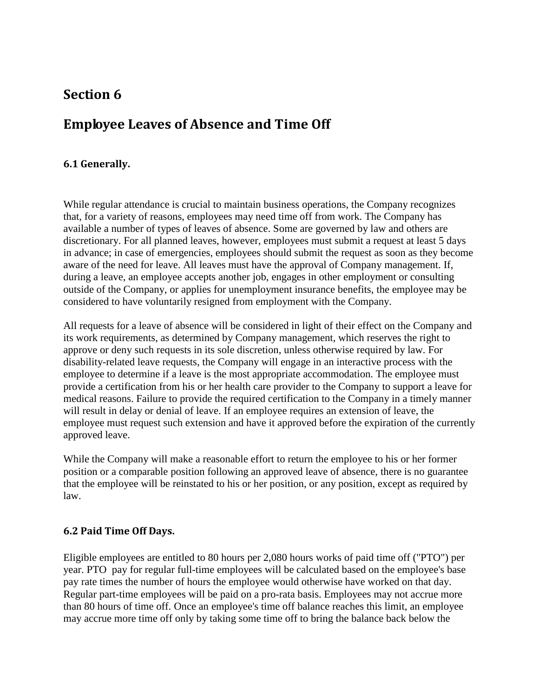# <span id="page-21-1"></span><span id="page-21-0"></span>**Employee Leaves of Absence and Time Off**

## <span id="page-21-2"></span>**6.1 Generally.**

While regular attendance is crucial to maintain business operations, the Company recognizes that, for a variety of reasons, employees may need time off from work. The Company has available a number of types of leaves of absence. Some are governed by law and others are discretionary. For all planned leaves, however, employees must submit a request at least 5 days in advance; in case of emergencies, employees should submit the request as soon as they become aware of the need for leave. All leaves must have the approval of Company management. If, during a leave, an employee accepts another job, engages in other employment or consulting outside of the Company, or applies for unemployment insurance benefits, the employee may be considered to have voluntarily resigned from employment with the Company.

All requests for a leave of absence will be considered in light of their effect on the Company and its work requirements, as determined by Company management, which reserves the right to approve or deny such requests in its sole discretion, unless otherwise required by law. For disability-related leave requests, the Company will engage in an interactive process with the employee to determine if a leave is the most appropriate accommodation. The employee must provide a certification from his or her health care provider to the Company to support a leave for medical reasons. Failure to provide the required certification to the Company in a timely manner will result in delay or denial of leave. If an employee requires an extension of leave, the employee must request such extension and have it approved before the expiration of the currently approved leave.

While the Company will make a reasonable effort to return the employee to his or her former position or a comparable position following an approved leave of absence, there is no guarantee that the employee will be reinstated to his or her position, or any position, except as required by law.

#### <span id="page-21-3"></span>**6.2 Paid Time Off Days.**

Eligible employees are entitled to 80 hours per 2,080 hours works of paid time off ("PTO") per year. PTO pay for regular full-time employees will be calculated based on the employee's base pay rate times the number of hours the employee would otherwise have worked on that day. Regular part-time employees will be paid on a pro-rata basis. Employees may not accrue more than 80 hours of time off. Once an employee's time off balance reaches this limit, an employee may accrue more time off only by taking some time off to bring the balance back below the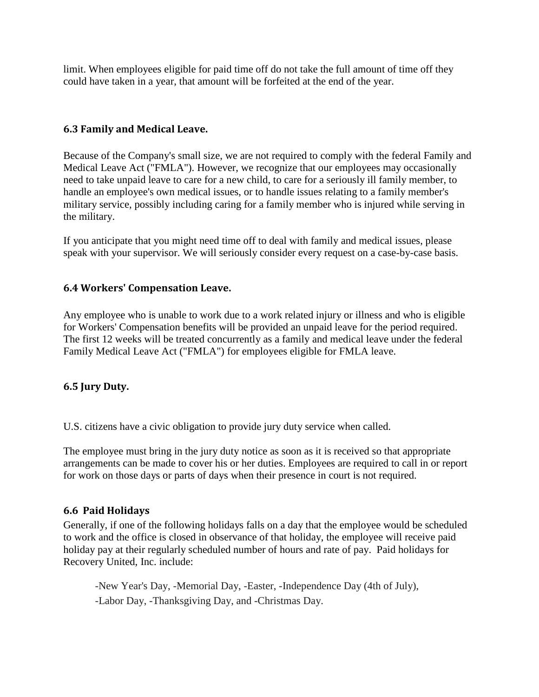limit. When employees eligible for paid time off do not take the full amount of time off they could have taken in a year, that amount will be forfeited at the end of the year.

#### <span id="page-22-0"></span>**6.3 Family and Medical Leave.**

Because of the Company's small size, we are not required to comply with the federal Family and Medical Leave Act ("FMLA"). However, we recognize that our employees may occasionally need to take unpaid leave to care for a new child, to care for a seriously ill family member, to handle an employee's own medical issues, or to handle issues relating to a family member's military service, possibly including caring for a family member who is injured while serving in the military.

If you anticipate that you might need time off to deal with family and medical issues, please speak with your supervisor. We will seriously consider every request on a case-by-case basis.

#### <span id="page-22-1"></span>**6.4 Workers' Compensation Leave.**

Any employee who is unable to work due to a work related injury or illness and who is eligible for Workers' Compensation benefits will be provided an unpaid leave for the period required. The first 12 weeks will be treated concurrently as a family and medical leave under the federal Family Medical Leave Act ("FMLA") for employees eligible for FMLA leave.

#### <span id="page-22-2"></span>**6.5 Jury Duty.**

U.S. citizens have a civic obligation to provide jury duty service when called.

The employee must bring in the jury duty notice as soon as it is received so that appropriate arrangements can be made to cover his or her duties. Employees are required to call in or report for work on those days or parts of days when their presence in court is not required.

#### <span id="page-22-3"></span>**6.6 Paid Holidays**

Generally, if one of the following holidays falls on a day that the employee would be scheduled to work and the office is closed in observance of that holiday, the employee will receive paid holiday pay at their regularly scheduled number of hours and rate of pay. Paid holidays for Recovery United, Inc. include:

-New Year's Day, -Memorial Day, -Easter, -Independence Day (4th of July), -Labor Day, -Thanksgiving Day, and -Christmas Day.